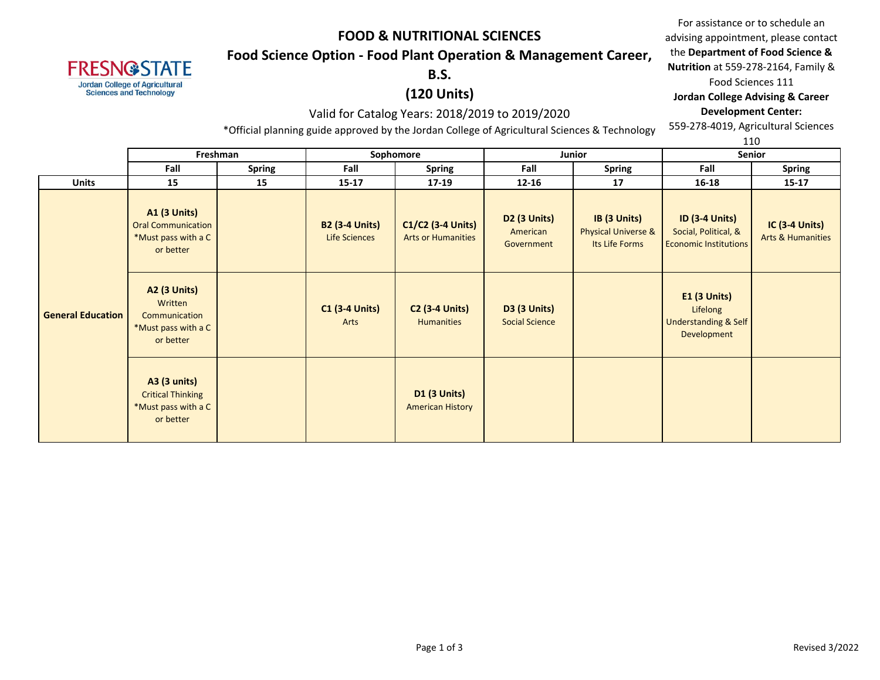## **Food Science Option - Food Plant Operation & Management Career,**

**B.S.** 

**FRESN@STATE Jordan College of Agricultural Sciences and Technology** 

### **(120 Units)**

#### Valid for Catalog Years: 2018/2019 to 2019/2020

\*Official planning guide approved by the Jordan College of Agricultural Sciences & Technology

559-278-4019, Agricultural Sciences 1110

|                          |                                                                                      |               |                                        |                                                |                                              |                                                                  |                                                                               | 110                                                   |
|--------------------------|--------------------------------------------------------------------------------------|---------------|----------------------------------------|------------------------------------------------|----------------------------------------------|------------------------------------------------------------------|-------------------------------------------------------------------------------|-------------------------------------------------------|
|                          | Freshman                                                                             |               |                                        | Sophomore                                      |                                              | Junior                                                           |                                                                               | Senior                                                |
|                          | Fall                                                                                 | <b>Spring</b> | Fall                                   | <b>Spring</b>                                  | Fall                                         | <b>Spring</b>                                                    | Fall                                                                          | <b>Spring</b>                                         |
| <b>Units</b>             | 15                                                                                   | 15            | $15 - 17$                              | 17-19                                          | $12 - 16$                                    | 17                                                               | 16-18                                                                         | $15-17$                                               |
|                          | <b>A1 (3 Units)</b><br><b>Oral Communication</b><br>*Must pass with a C<br>or better |               | <b>B2 (3-4 Units)</b><br>Life Sciences | C1/C2 (3-4 Units)<br><b>Arts or Humanities</b> | D2 (3 Units)<br>American<br>Government       | IB (3 Units)<br><b>Physical Universe &amp;</b><br>Its Life Forms | <b>ID (3-4 Units)</b><br>Social, Political, &<br><b>Economic Institutions</b> | <b>IC (3-4 Units)</b><br><b>Arts &amp; Humanities</b> |
| <b>General Education</b> | <b>A2 (3 Units)</b><br>Written<br>Communication<br>*Must pass with a C<br>or better  |               | <b>C1 (3-4 Units)</b><br>Arts          | <b>C2 (3-4 Units)</b><br><b>Humanities</b>     | <b>D3 (3 Units)</b><br><b>Social Science</b> |                                                                  | $E1$ (3 Units)<br>Lifelong<br>Understanding & Self<br>Development             |                                                       |
|                          | A3 (3 units)<br><b>Critical Thinking</b><br>*Must pass with a C<br>or better         |               |                                        | <b>D1 (3 Units)</b><br><b>American History</b> |                                              |                                                                  |                                                                               |                                                       |

For assistance or to schedule an advising appointment, please contact the **Department of Food Science &** 

**Nutrition** at 559-278-2164, Family &

Food Sciences 111

#### **Jordan College Advising & Career Development Center:**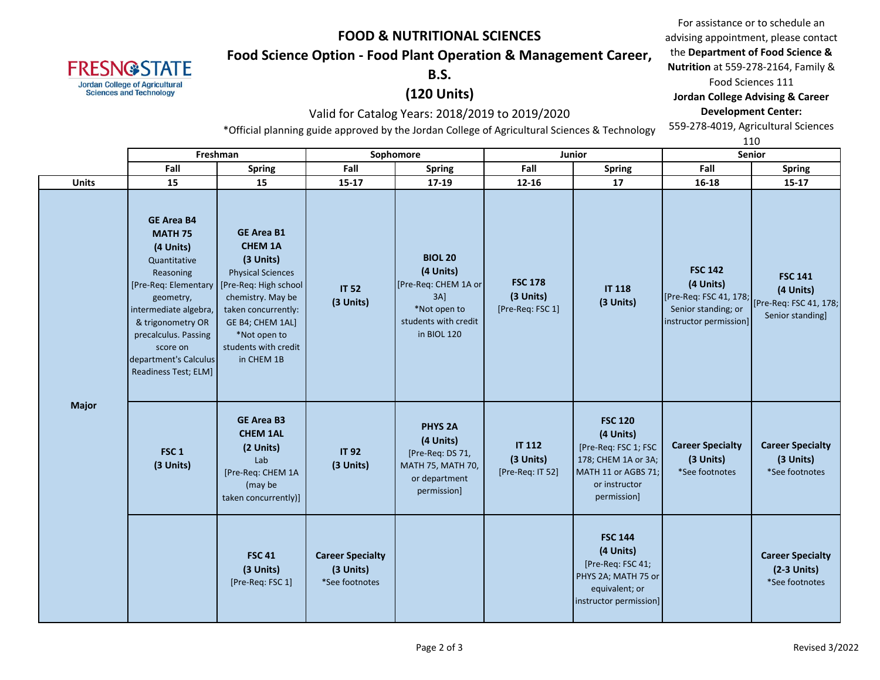## **Food Science Option - Food Plant Operation & Management Career,**

**B.S.** 

### **(120 Units)**

#### Valid for Catalog Years: 2018/2019 to 2019/2020

\*Official planning guide approved by the Jordan College of Agricultural Sciences & Technology

For assistance or to schedule an advising appointment, please contact the **Department of Food Science & Nutrition** at 559-278-2164, Family & Food Sciences 111 **Jordan College Advising & Career Development Center:**

559-278-4019, Agricultural Sciences

|              |                                                                                                                                                                                                                               |                                                                                                                                                                                                                                                    |                                                                                                                  |                                                                                                                      |                                                                                                      |                                                |                                                                                                                                   | 110                                                    |                                                            |  |
|--------------|-------------------------------------------------------------------------------------------------------------------------------------------------------------------------------------------------------------------------------|----------------------------------------------------------------------------------------------------------------------------------------------------------------------------------------------------------------------------------------------------|------------------------------------------------------------------------------------------------------------------|----------------------------------------------------------------------------------------------------------------------|------------------------------------------------------------------------------------------------------|------------------------------------------------|-----------------------------------------------------------------------------------------------------------------------------------|--------------------------------------------------------|------------------------------------------------------------|--|
|              |                                                                                                                                                                                                                               |                                                                                                                                                                                                                                                    | Freshman                                                                                                         |                                                                                                                      | Sophomore                                                                                            |                                                | <b>Junior</b>                                                                                                                     | Senior                                                 |                                                            |  |
|              |                                                                                                                                                                                                                               | Fall                                                                                                                                                                                                                                               | <b>Spring</b>                                                                                                    | Fall                                                                                                                 | <b>Spring</b>                                                                                        | Fall                                           | <b>Spring</b>                                                                                                                     | Fall                                                   | <b>Spring</b>                                              |  |
|              | <b>Units</b>                                                                                                                                                                                                                  | 15                                                                                                                                                                                                                                                 | 15                                                                                                               | $15 - 17$                                                                                                            | 17-19                                                                                                | $12 - 16$                                      | 17                                                                                                                                | 16-18                                                  | $15 - 17$                                                  |  |
| <b>Major</b> | <b>GE Area B4</b><br><b>MATH 75</b><br>(4 Units)<br>Quantitative<br>Reasoning<br>geometry,<br>intermediate algebra,<br>& trigonometry OR<br>precalculus. Passing<br>score on<br>department's Calculus<br>Readiness Test; ELM] | <b>GE Area B1</b><br><b>CHEM 1A</b><br>(3 Units)<br><b>Physical Sciences</b><br>[Pre-Req: Elementary   [Pre-Req: High school<br>chemistry. May be<br>taken concurrently:<br>GE B4; CHEM 1AL]<br>*Not open to<br>students with credit<br>in CHEM 1B | <b>IT 52</b><br>(3 Units)                                                                                        | <b>BIOL 20</b><br>(4 Units)<br>[Pre-Req: CHEM 1A or<br>$3A$ ]<br>*Not open to<br>students with credit<br>in BIOL 120 | <b>FSC 178</b><br>(3 Units)<br>[Pre-Req: FSC 1]                                                      | <b>IT 118</b><br>(3 Units)                     | <b>FSC 142</b><br>(4 Units)<br>[Pre-Req: FSC 41, 178; [Pre-Req: FSC 41, 178;<br>instructor permission]                            | <b>FSC 141</b><br>(4 Units)<br>Senior standing]        |                                                            |  |
|              |                                                                                                                                                                                                                               | FSC <sub>1</sub><br>(3 Units)                                                                                                                                                                                                                      | <b>GE Area B3</b><br><b>CHEM 1AL</b><br>(2 Units)<br>Lab<br>[Pre-Req: CHEM 1A<br>(may be<br>taken concurrently)] | <b>IT 92</b><br>(3 Units)                                                                                            | <b>PHYS 2A</b><br>(4 Units)<br>[Pre-Req: DS 71,<br>MATH 75, MATH 70,<br>or department<br>permission] | <b>IT 112</b><br>(3 Units)<br>[Pre-Req: IT 52] | <b>FSC 120</b><br>(4 Units)<br>[Pre-Req: FSC 1; FSC<br>178; CHEM 1A or 3A;<br>MATH 11 or AGBS 71;<br>or instructor<br>permission] | <b>Career Specialty</b><br>(3 Units)<br>*See footnotes | <b>Career Specialty</b><br>(3 Units)<br>*See footnotes     |  |
|              |                                                                                                                                                                                                                               |                                                                                                                                                                                                                                                    | <b>FSC 41</b><br>(3 Units)<br>[Pre-Req: FSC 1]                                                                   | <b>Career Specialty</b><br>(3 Units)<br>*See footnotes                                                               |                                                                                                      |                                                | <b>FSC 144</b><br>(4 Units)<br>[Pre-Req: FSC 41;<br>PHYS 2A; MATH 75 or<br>equivalent; or<br>instructor permission]               |                                                        | <b>Career Specialty</b><br>$(2-3$ Units)<br>*See footnotes |  |

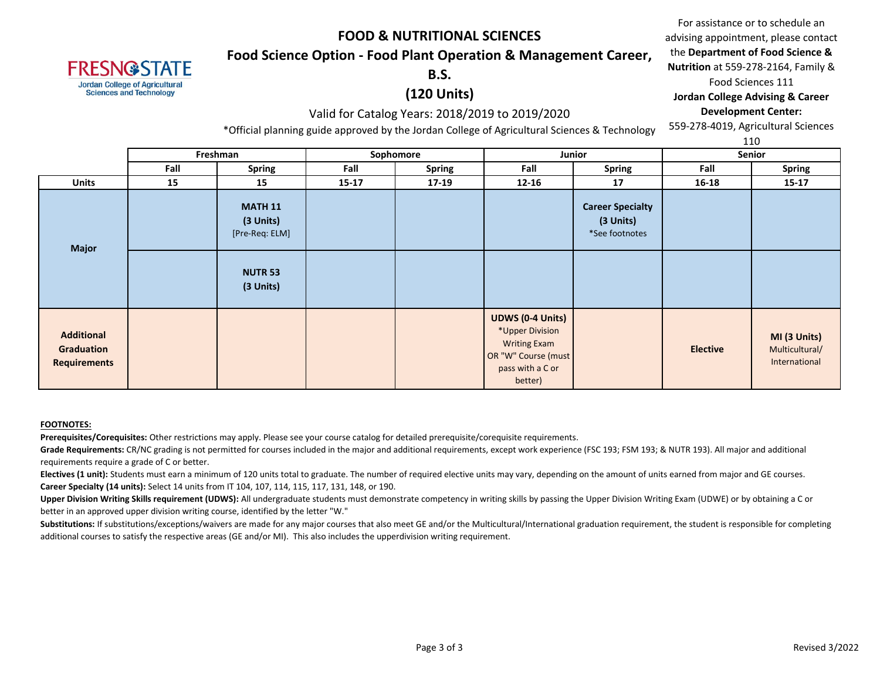#### **Food Science Option - Food Plant Operation & Management Career,**

#### **B.S.**

### **(120 Units)**

#### Valid for Catalog Years: 2018/2019 to 2019/2020

\*Official planning guide approved by the Jordan College of Agricultural Sciences & Technology

For assistance or to schedule an advising appointment, please contact the **Department of Food Science & Nutrition** at 559-278-2164, Family & Food Sciences 111 **Jordan College Advising & Career** 

# **Development Center:**

559-278-4019, Agricultural Sciences

|                                                        |      |                                                                              |           |                     |                                                                                                                         |                                                        |                 | 110                                             |
|--------------------------------------------------------|------|------------------------------------------------------------------------------|-----------|---------------------|-------------------------------------------------------------------------------------------------------------------------|--------------------------------------------------------|-----------------|-------------------------------------------------|
|                                                        |      | Freshman                                                                     |           | Sophomore<br>Junior |                                                                                                                         | <b>Senior</b>                                          |                 |                                                 |
|                                                        | Fall | Spring                                                                       | Fall      | <b>Spring</b>       | Fall                                                                                                                    | <b>Spring</b>                                          | Fall            | <b>Spring</b>                                   |
| <b>Units</b>                                           | 15   | 15                                                                           | $15 - 17$ | $17-19$             | $12 - 16$                                                                                                               | 17                                                     | 16-18           | $15 - 17$                                       |
| <b>Major</b>                                           |      | <b>MATH 11</b><br>(3 Units)<br>[Pre-Req: ELM]<br><b>NUTR 53</b><br>(3 Units) |           |                     |                                                                                                                         | <b>Career Specialty</b><br>(3 Units)<br>*See footnotes |                 |                                                 |
| <b>Additional</b><br>Graduation<br><b>Requirements</b> |      |                                                                              |           |                     | <b>UDWS (0-4 Units)</b><br>*Upper Division<br><b>Writing Exam</b><br>OR "W" Course (must<br>pass with a C or<br>better) |                                                        | <b>Elective</b> | MI (3 Units)<br>Multicultural/<br>International |

#### **FOOTNOTES:**

**FRESN@STATE Jordan College of Agricultural Sciences and Technology** 

**Prerequisites/Corequisites:** Other restrictions may apply. Please see your course catalog for detailed prerequisite/corequisite requirements.

Grade Requirements: CR/NC grading is not permitted for courses included in the major and additional requirements, except work experience (FSC 193; FSM 193; & NUTR 193). All major and additional requirements require a grade of C or better.

Electives (1 unit): Students must earn a minimum of 120 units total to graduate. The number of required elective units may vary, depending on the amount of units earned from major and GE courses. **Career Specialty (14 units):** Select 14 units from IT 104, 107, 114, 115, 117, 131, 148, or 190.

Upper Division Writing Skills requirement (UDWS): All undergraduate students must demonstrate competency in writing skills by passing the Upper Division Writing Exam (UDWE) or by obtaining a C or better in an approved upper division writing course, identified by the letter "W."

Substitutions: If substitutions/exceptions/waivers are made for any major courses that also meet GE and/or the Multicultural/International graduation requirement, the student is responsible for completing additional courses to satisfy the respective areas (GE and/or MI). This also includes the upperdivision writing requirement.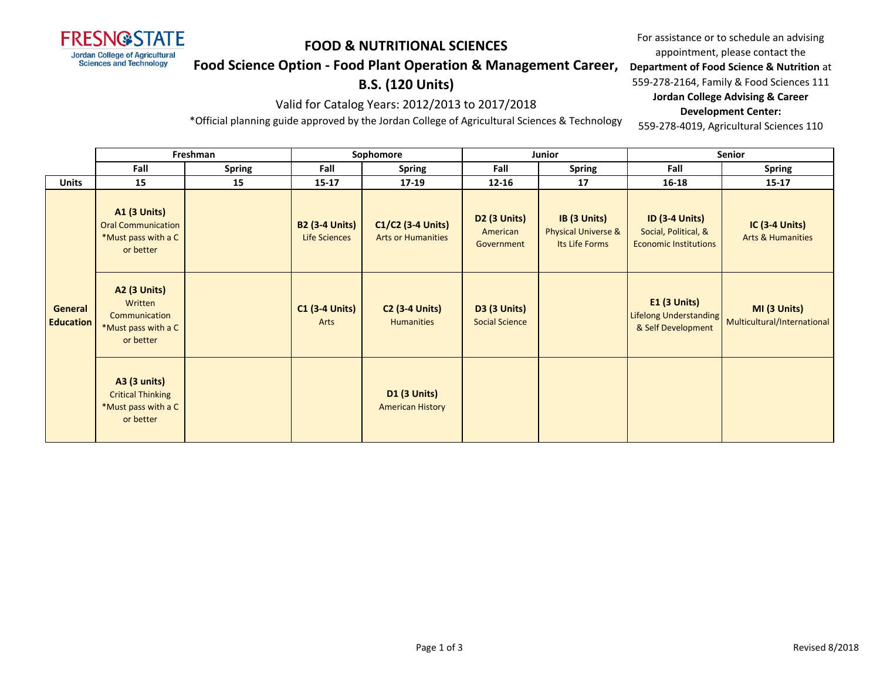

#### **Food Science Option - Food Plant Operation & Management Career,**

## **B.S. (120 Units)**

Valid for Catalog Years: 2012/2013 to 2017/2018

\*Official planning guide approved by the Jordan College of Agricultural Sciences & Technology

For assistance or to schedule an advising appointment, please contact the

**Department of Food Science & Nutrition** at

559-278-2164, Family & Food Sciences 111

**Jordan College Advising & Career Development Center:**

559-278-4019, Agricultural Sciences 110

|                                    | Freshman                                                                             |               | Sophomore                              |                                                |                                               | Junior                                                | <b>Senior</b>                                                                 |                                                                    |  |
|------------------------------------|--------------------------------------------------------------------------------------|---------------|----------------------------------------|------------------------------------------------|-----------------------------------------------|-------------------------------------------------------|-------------------------------------------------------------------------------|--------------------------------------------------------------------|--|
|                                    | Fall                                                                                 | <b>Spring</b> | Fall                                   | <b>Spring</b>                                  | Fall                                          | <b>Spring</b>                                         | Fall                                                                          | <b>Spring</b>                                                      |  |
| <b>Units</b>                       | 15                                                                                   | 15            | $15 - 17$                              | 17-19                                          | $12 - 16$                                     | 17                                                    | 16-18                                                                         | $15 - 17$                                                          |  |
| <b>General</b><br><b>Education</b> | <b>A1 (3 Units)</b><br><b>Oral Communication</b><br>*Must pass with a C<br>or better |               | <b>B2 (3-4 Units)</b><br>Life Sciences | C1/C2 (3-4 Units)<br><b>Arts or Humanities</b> | <b>D2 (3 Units)</b><br>American<br>Government | IB (3 Units)<br>Physical Universe &<br>Its Life Forms | <b>ID (3-4 Units)</b><br>Social, Political, &<br><b>Economic Institutions</b> | <b>IC (3-4 Units)</b><br><b>Arts &amp; Humanities</b>              |  |
|                                    | <b>A2 (3 Units)</b><br>Written<br>Communication<br>*Must pass with a C<br>or better  |               | <b>C1 (3-4 Units)</b><br>Arts          | <b>C2 (3-4 Units)</b><br><b>Humanities</b>     | <b>D3 (3 Units)</b><br><b>Social Science</b>  |                                                       | E1 (3 Units)<br>& Self Development                                            | MI (3 Units)<br>Lifelong Understanding Multicultural/International |  |
|                                    | <b>A3 (3 units)</b><br><b>Critical Thinking</b><br>*Must pass with a C<br>or better  |               |                                        | <b>D1 (3 Units)</b><br><b>American History</b> |                                               |                                                       |                                                                               |                                                                    |  |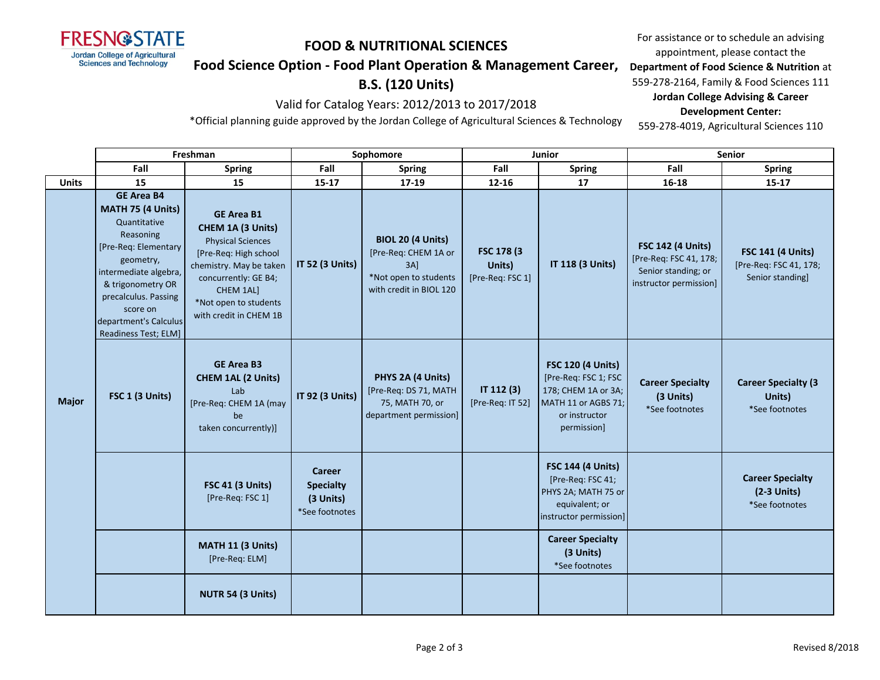

**Department of Food Science & Nutrition** at **Food Science Option - Food Plant Operation & Management Career,** 

# **B.S. (120 Units)** Valid for Catalog Years: 2012/2013 to 2017/2018

559-278-2164, Family & Food Sciences 111 **Jordan College Advising & Career** 

#### **Development Center:**

\*Official planning guide approved by the Jordan College of Agricultural Sciences & Technology

559-278-4019, Agricultural Sciences 110

For assistance or to schedule an advising appointment, please contact the

|              | Freshman                                                                                                                                                                                                                                    |                                                                                                                                                                                                                | Sophomore                                                 |                                                                                                             | <b>Junior</b>                             |                                                                                                                                | Senior                                                                                              |                                                                        |
|--------------|---------------------------------------------------------------------------------------------------------------------------------------------------------------------------------------------------------------------------------------------|----------------------------------------------------------------------------------------------------------------------------------------------------------------------------------------------------------------|-----------------------------------------------------------|-------------------------------------------------------------------------------------------------------------|-------------------------------------------|--------------------------------------------------------------------------------------------------------------------------------|-----------------------------------------------------------------------------------------------------|------------------------------------------------------------------------|
|              | Fall                                                                                                                                                                                                                                        | <b>Spring</b>                                                                                                                                                                                                  | Fall                                                      | <b>Spring</b>                                                                                               | Fall                                      | <b>Spring</b>                                                                                                                  | Fall                                                                                                | <b>Spring</b>                                                          |
| <b>Units</b> | 15                                                                                                                                                                                                                                          | 15                                                                                                                                                                                                             | $15 - 17$                                                 | 17-19                                                                                                       | $12 - 16$                                 | 17                                                                                                                             | 16-18                                                                                               | $15 - 17$                                                              |
| <b>Major</b> | <b>GE Area B4</b><br>MATH 75 (4 Units)<br>Quantitative<br>Reasoning<br>[Pre-Req: Elementary<br>geometry,<br>intermediate algebra,<br>& trigonometry OR<br>precalculus. Passing<br>score on<br>department's Calculus<br>Readiness Test; ELM] | <b>GE Area B1</b><br>CHEM 1A (3 Units)<br><b>Physical Sciences</b><br>[Pre-Req: High school<br>chemistry. May be taken<br>concurrently: GE B4;<br>CHEM 1AL]<br>*Not open to students<br>with credit in CHEM 1B | <b>IT 52 (3 Units)</b>                                    | <b>BIOL 20 (4 Units)</b><br>[Pre-Req: CHEM 1A or<br>3AI<br>*Not open to students<br>with credit in BIOL 120 | FSC 178 (3)<br>Units)<br>[Pre-Req: FSC 1] | IT 118 (3 Units)                                                                                                               | <b>FSC 142 (4 Units)</b><br>[Pre-Req: FSC 41, 178;<br>Senior standing; or<br>instructor permission] | <b>FSC 141 (4 Units)</b><br>[Pre-Req: FSC 41, 178;<br>Senior standing] |
|              | FSC 1 (3 Units)                                                                                                                                                                                                                             | <b>GE Area B3</b><br><b>CHEM 1AL (2 Units)</b><br>Lab<br>[Pre-Req: CHEM 1A (may<br>be<br>taken concurrently)]                                                                                                  | IT 92 (3 Units)                                           | PHYS 2A (4 Units)<br>[Pre-Req: DS 71, MATH<br>75, MATH 70, or<br>department permission]                     | IT 112 (3)<br>[Pre-Req: IT 52]            | <b>FSC 120 (4 Units)</b><br>[Pre-Req: FSC 1; FSC<br>178; CHEM 1A or 3A;<br>MATH 11 or AGBS 71;<br>or instructor<br>permission] | <b>Career Specialty</b><br>(3 Units)<br>*See footnotes                                              | <b>Career Specialty (3</b><br>Units)<br>*See footnotes                 |
|              |                                                                                                                                                                                                                                             | <b>FSC 41 (3 Units)</b><br>[Pre-Req: FSC 1]                                                                                                                                                                    | Career<br><b>Specialty</b><br>(3 Units)<br>*See footnotes |                                                                                                             |                                           | <b>FSC 144 (4 Units)</b><br>[Pre-Req: FSC 41;<br>PHYS 2A; MATH 75 or<br>equivalent; or<br>instructor permission]               |                                                                                                     | <b>Career Specialty</b><br>$(2-3$ Units)<br>*See footnotes             |
|              |                                                                                                                                                                                                                                             | MATH 11 (3 Units)<br>[Pre-Req: ELM]                                                                                                                                                                            |                                                           |                                                                                                             |                                           | <b>Career Specialty</b><br>(3 Units)<br>*See footnotes                                                                         |                                                                                                     |                                                                        |
|              |                                                                                                                                                                                                                                             | NUTR 54 (3 Units)                                                                                                                                                                                              |                                                           |                                                                                                             |                                           |                                                                                                                                |                                                                                                     |                                                                        |